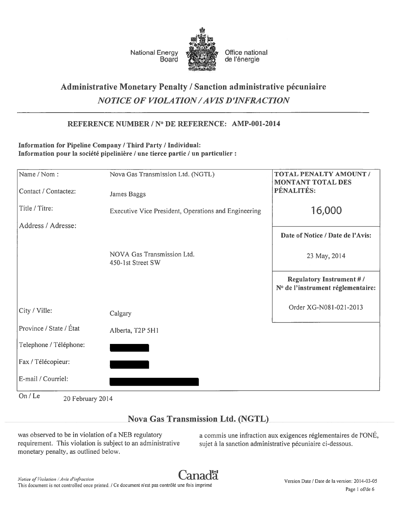

National Energy **Office national**<br>Board **Consumers** de l'énergie de l'énergie

# Administrative Monetary Penalty / Sanction administrative pécuniaire NOTICE OF VIOLA TION/A VIS D 'INFRACTION

# REFERENCE NUMBER / N° DE REFERENCE: AMP-OO1-2014

# Information for Pipeline Company / Third Party / Individual: Information pour la société pipelinière / une tierce partie / un particulier :

| Name / Nom:                 | Nova Gas Transmission Ltd. (NGTL)                    | <b>TOTAL PENALTY AMOUNT /</b><br><b>MONTANT TOTAL DES</b>            |
|-----------------------------|------------------------------------------------------|----------------------------------------------------------------------|
| Contact / Contactez:        | James Baggs                                          | PÉNALITÉS:                                                           |
| Title / Titre:              | Executive Vice President, Operations and Engineering | 16,000                                                               |
| Address / Adresse:          |                                                      | Date of Notice / Date de l'Avis:                                     |
|                             |                                                      |                                                                      |
|                             | NOVA Gas Transmission Ltd.<br>450-1st Street SW      | 23 May, 2014                                                         |
|                             |                                                      | <b>Regulatory Instrument #/</b><br>N° de l'instrument réglementaire: |
| City / Ville:               | Calgary                                              | Order XG-N081-021-2013                                               |
| Province / State / État     | Alberta, T2P 5H1                                     |                                                                      |
| Telephone / Téléphone:      |                                                      |                                                                      |
| Fax / Télécopieur:          |                                                      |                                                                      |
| E-mail / Courriel:          |                                                      |                                                                      |
| On / Le<br>20 February 2014 |                                                      |                                                                      |

# Nova Gas Transmission Ltd. (NGTL)

requirement. This violation is subject to an administrative sujet à la sanction administrative pécuniaire ci-dessous. monetary penalty, as outlined below.

was observed to be in violation of a NEB regulatory a commis une infraction aux exigences réglementaires de l'ONÉ,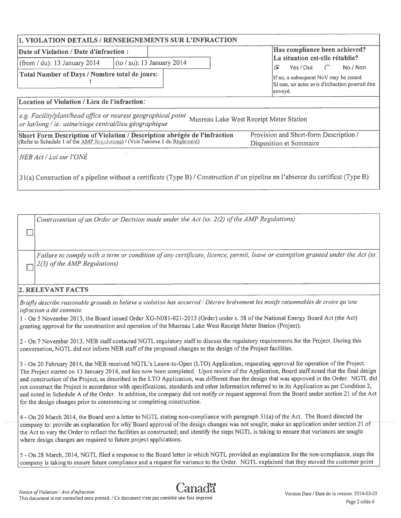|                                                                                                                                                            | 1. VIOLATION DETAILS / RENSEIGNEMENTS SUR L'INFRACTION                                                                           |                                                                                                                                                    |  |  |  |  |
|------------------------------------------------------------------------------------------------------------------------------------------------------------|----------------------------------------------------------------------------------------------------------------------------------|----------------------------------------------------------------------------------------------------------------------------------------------------|--|--|--|--|
| Date of Violation / Date d'infraction :                                                                                                                    |                                                                                                                                  | Has compliance been achieved?                                                                                                                      |  |  |  |  |
| (from $/$ du): 13 January 2014                                                                                                                             | $(cot \mid au)$ : 13 January 2014                                                                                                | La situation est-elle rétablie?                                                                                                                    |  |  |  |  |
| Total Number of Days / Nombre total de jours:                                                                                                              |                                                                                                                                  | No / Non<br>Yes / Oui<br>☞<br>$\sqrt{ }$<br>If no, a subsequent NoV may be issued.<br>Si non, un autre avis d'infraction pourrait être<br> envoyé. |  |  |  |  |
| Location of Violation / Lieu de l'infraction:                                                                                                              |                                                                                                                                  |                                                                                                                                                    |  |  |  |  |
| e.g. Facility/plant/head office or nearest geographical point<br>or lat/long / ie: usine/siege central/lieu géographique                                   |                                                                                                                                  | Musreau Lake West Receipt Meter Station                                                                                                            |  |  |  |  |
| Short Form Description of Violation / Description abrégée de l'infraction<br>(Refer to Schedule 1 of the AMP Regulations) / (Voir l'annexe 1 du Reglement) |                                                                                                                                  | Provision and Short-form Description /                                                                                                             |  |  |  |  |
|                                                                                                                                                            |                                                                                                                                  | Disposition et Sommaire                                                                                                                            |  |  |  |  |
| NEB Act / Loi sur l'ONÉ                                                                                                                                    |                                                                                                                                  |                                                                                                                                                    |  |  |  |  |
|                                                                                                                                                            | 31(a) Construction of a pipeline without a certificate (Type B) / Construction d'un pipeline en l'absence du certificat (Type B) |                                                                                                                                                    |  |  |  |  |

Contravention of an Order or Decision made under the Act (ss. 2(2) of the AMP Regulations)

Failure to comply with a term or condition of any certificate, licence, permit, leave or exemption granted under the Act (ss.  $2(3)$  of the AMP Regulations)

## 2. RELEVANT FACTS

 $\Box$ 

Briefly describe reasonable grounds to believe a violation has occurred / Décrire brièvement les motifs raisonnables de croire qu'une infraction <sup>a</sup> été commise

- On 5 November 2013, the Board issued Order XG-N08 1-021-2013 (Order) under s. 58 ofthe National Energy Board Act (the Act) granting approval for the construction and operation of the Musreau Lake West Receipt Meter Station (Project).

<sup>2</sup> - On <sup>7</sup> November 2013, NEB staff contacted NGTL regulatory staff to discuss the regulatory requirements for the Project. During this conversation, NGTL did not inform NEB staff of the proposed changes to the design ofthe Project facilities.

3-On <sup>20</sup> February 2014, theNEB received NGTL's Leave-to-Open (LTO) Application, requesting approva<sup>l</sup> for operation ofthe Project. The Project started on <sup>13</sup> January 2014, and has now been completed. Upon review of the Application, Board staff noted that the final design and construction ofthe Project, as described in the LTO Application, was different than the design that was approve<sup>d</sup> in the Order. NGTL did not construct the Project in accordance with specifications, standards and other information referred to in its Application as per Condition 2, and noted in Schedule <sup>A</sup> ofthe Order. In addition, the company did not notify or reques<sup>t</sup> approva<sup>l</sup> from the Board under section <sup>21</sup> of the Act for the design changes prior to commencing or completing construction.

4-On <sup>20</sup> March 2014, the Board sent <sup>a</sup> letter to NGTL stating non-compliance with paragrap<sup>h</sup> <sup>3</sup> 1(a) of the Act. The Board directed the company to: provide an explanation for why Board approval of the design changes was not sought; make an application under section 21 of the Act to vary the Order to reflect the facilities as constructed; and identify the steps NGTL is taking to ensure that variances are sought where design changes are required to future project applications.

<sup>5</sup> -On <sup>28</sup> March, 2014, NGTL filed <sup>a</sup> response to the Board letter in which NGTL provided an explanation for the non-compliance, steps the company is taking to ensure future compliance and <sup>a</sup> reques<sup>t</sup> for variance to the Order. NGTL explained that they moved the customer point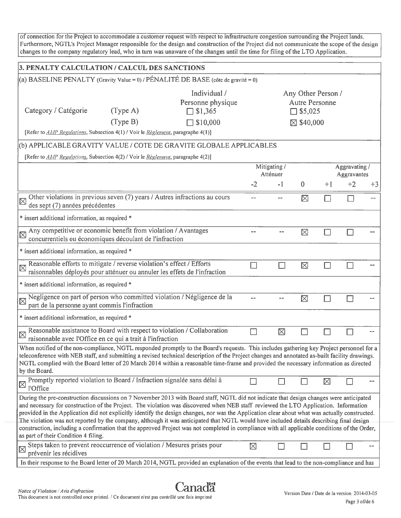of connection for the Project to accommodate a customer request with respect to infrastructure congestion surrounding the Project lands. Furthermore, NGTL's Project Manager responsible for the design and construction of the Project did not communicate the scope of the design changes to the company regulatory lead, who in turn was unaware of the changes until the time for filing of the LTO Application.

| 3. PENALTY CALCULATION / CALCUL DES SANCTIONS                                                                                                                                                                                                                                                                                                                                                                                                                                                                                                                                                                                                                                                                                                                          |          |                                                     |                                                          |                                                               |                      |             |      |      |
|------------------------------------------------------------------------------------------------------------------------------------------------------------------------------------------------------------------------------------------------------------------------------------------------------------------------------------------------------------------------------------------------------------------------------------------------------------------------------------------------------------------------------------------------------------------------------------------------------------------------------------------------------------------------------------------------------------------------------------------------------------------------|----------|-----------------------------------------------------|----------------------------------------------------------|---------------------------------------------------------------|----------------------|-------------|------|------|
| (a) BASELINE PENALTY (Gravity Value = 0) / PÉNALITÉ DE BASE (côte de gravité = 0)                                                                                                                                                                                                                                                                                                                                                                                                                                                                                                                                                                                                                                                                                      |          |                                                     |                                                          |                                                               |                      |             |      |      |
| Category / Catégorie                                                                                                                                                                                                                                                                                                                                                                                                                                                                                                                                                                                                                                                                                                                                                   | (Type A) | Individual /<br>Personne physique<br>$\Box$ \$1,365 |                                                          | Any Other Person /<br><b>Autre Personne</b><br>$\Box$ \$5,025 |                      |             |      |      |
|                                                                                                                                                                                                                                                                                                                                                                                                                                                                                                                                                                                                                                                                                                                                                                        | (Type B) | \$10,000                                            |                                                          |                                                               | $\boxtimes$ \$40,000 |             |      |      |
| [Refer to <i>AMP Regulations</i> , Subsection 4(1) / Voir le <i>Règlement</i> , paragraphe 4(1)]                                                                                                                                                                                                                                                                                                                                                                                                                                                                                                                                                                                                                                                                       |          |                                                     |                                                          |                                                               |                      |             |      |      |
| (b) APPLICABLE GRAVITY VALUE / COTE DE GRAVITE GLOBALE APPLICABLES                                                                                                                                                                                                                                                                                                                                                                                                                                                                                                                                                                                                                                                                                                     |          |                                                     |                                                          |                                                               |                      |             |      |      |
| [Refer to <i>AMP Regulations</i> , Subsection 4(2) / Voir le Règlement, paragraphe 4(2)]                                                                                                                                                                                                                                                                                                                                                                                                                                                                                                                                                                                                                                                                               |          |                                                     |                                                          |                                                               |                      |             |      |      |
|                                                                                                                                                                                                                                                                                                                                                                                                                                                                                                                                                                                                                                                                                                                                                                        |          |                                                     | Mitigating /<br>Aggravating /<br>Atténuer<br>Aggravantes |                                                               |                      |             |      |      |
|                                                                                                                                                                                                                                                                                                                                                                                                                                                                                                                                                                                                                                                                                                                                                                        |          |                                                     | $-2$                                                     | $-1$                                                          | 0                    | $+1$        | $+2$ | $+3$ |
| Other violations in previous seven (7) years / Autres infractions au cours<br>$\boxtimes$<br>des sept (7) années précédentes                                                                                                                                                                                                                                                                                                                                                                                                                                                                                                                                                                                                                                           |          |                                                     | $\sim$ $\sim$                                            |                                                               | ⊠                    |             |      |      |
| * insert additional information, as required *                                                                                                                                                                                                                                                                                                                                                                                                                                                                                                                                                                                                                                                                                                                         |          |                                                     |                                                          |                                                               |                      |             |      |      |
| Any competitive or economic benefit from violation / Avantages<br>$\boxtimes$<br>concurrentiels ou économiques découlant de l'infraction                                                                                                                                                                                                                                                                                                                                                                                                                                                                                                                                                                                                                               |          |                                                     |                                                          |                                                               | $\boxtimes$          |             |      |      |
| * insert additional information, as required *                                                                                                                                                                                                                                                                                                                                                                                                                                                                                                                                                                                                                                                                                                                         |          |                                                     |                                                          |                                                               |                      |             |      |      |
| Reasonable efforts to mitigate / reverse violation's effect / Efforts<br>$\boxtimes$<br>raisonnables déployés pour atténuer ou annuler les effets de l'infraction                                                                                                                                                                                                                                                                                                                                                                                                                                                                                                                                                                                                      |          |                                                     |                                                          |                                                               | $\boxtimes$          |             |      |      |
| * insert additional information, as required *                                                                                                                                                                                                                                                                                                                                                                                                                                                                                                                                                                                                                                                                                                                         |          |                                                     |                                                          |                                                               |                      |             |      |      |
| Negligence on part of person who committed violation / Négligence de la<br>冈<br>part de la personne ayant commis l'infraction                                                                                                                                                                                                                                                                                                                                                                                                                                                                                                                                                                                                                                          |          |                                                     |                                                          |                                                               | 冈                    |             |      |      |
| * insert additional information, as required *                                                                                                                                                                                                                                                                                                                                                                                                                                                                                                                                                                                                                                                                                                                         |          |                                                     |                                                          |                                                               |                      |             |      |      |
| Reasonable assistance to Board with respect to violation / Collaboration<br>$\boxtimes$<br>raisonnable avec l'Office en ce qui a trait à l'infraction                                                                                                                                                                                                                                                                                                                                                                                                                                                                                                                                                                                                                  |          |                                                     |                                                          | ⊠                                                             |                      |             |      |      |
| When notified of the non-compliance, NGTL responded promptly to the Board's requests. This includes gathering key Project personnel for a<br>teleconference with NEB staff, and submitting a revised technical description of the Project changes and annotated as-built facility drawings.<br>NGTL complied with the Board letter of 20 March 2014 within a reasonable time-frame and provided the necessary information as directed<br>by the Board.                                                                                                                                                                                                                                                                                                                 |          |                                                     |                                                          |                                                               |                      |             |      |      |
| Promptly reported violation to Board / Infraction signalée sans délai à<br>$\boxtimes$<br>l'Office                                                                                                                                                                                                                                                                                                                                                                                                                                                                                                                                                                                                                                                                     |          |                                                     |                                                          |                                                               |                      | $\boxtimes$ |      |      |
| During the pre-construction discussions on 7 November 2013 with Board staff, NGTL did not indicate that design changes were anticipated<br>and necessary for construction of the Project. The violation was discovered when NEB staff reviewed the LTO Application. Information<br>provided in the Application did not explicitly identify the design changes, nor was the Application clear about what was actually constructed.<br>The violation was not reported by the company, although it was anticipated that NGTL would have included details describing final design<br>construction, including a confirmation that the approved Project was not completed in compliance with all applicable conditions of the Order,<br>as part of their Condition 4 filing. |          |                                                     |                                                          |                                                               |                      |             |      |      |
| Steps taken to prevent reoccurrence of violation / Mesures prises pour<br>$\boxtimes$<br>prévenir les récidives                                                                                                                                                                                                                                                                                                                                                                                                                                                                                                                                                                                                                                                        |          |                                                     | $\boxtimes$                                              |                                                               |                      |             |      |      |
| In their response to the Board letter of 20 March 2014, NGTL provided an explanation of the events that lead to the non-compliance and has                                                                                                                                                                                                                                                                                                                                                                                                                                                                                                                                                                                                                             |          |                                                     |                                                          |                                                               |                      |             |      |      |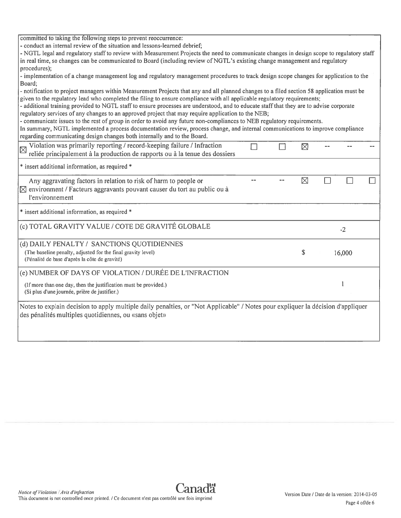| committed to taking the following steps to prevent reoccurrence:                                                                                                                                                                                                                                                                                                                                                                                                                                                                                                                                                                                                                                                                                                                                                                                              |  |    |        |  |
|---------------------------------------------------------------------------------------------------------------------------------------------------------------------------------------------------------------------------------------------------------------------------------------------------------------------------------------------------------------------------------------------------------------------------------------------------------------------------------------------------------------------------------------------------------------------------------------------------------------------------------------------------------------------------------------------------------------------------------------------------------------------------------------------------------------------------------------------------------------|--|----|--------|--|
| - conduct an internal review of the situation and lessons-learned debrief;<br>- NGTL legal and regulatory staff to review with Measurement Projects the need to communicate changes in design scope to regulatory staff                                                                                                                                                                                                                                                                                                                                                                                                                                                                                                                                                                                                                                       |  |    |        |  |
| in real time, so changes can be communicated to Board (including review of NGTL's existing change management and regulatory<br>procedures):                                                                                                                                                                                                                                                                                                                                                                                                                                                                                                                                                                                                                                                                                                                   |  |    |        |  |
| - implementation of a change management log and regulatory management procedures to track design scope changes for application to the<br>Board;                                                                                                                                                                                                                                                                                                                                                                                                                                                                                                                                                                                                                                                                                                               |  |    |        |  |
| - notification to project managers within Measurement Projects that any and all planned changes to a filed section 58 application must be<br>given to the regulatory lead who completed the filing to ensure compliance with all applicable regulatory requirements;<br>- additional training provided to NGTL staff to ensure processes are understood, and to educate staff that they are to advise corporate<br>regulatory services of any changes to an approved project that may require application to the NEB;<br>- communicate issues to the rest of group in order to avoid any future non-compliances to NEB regulatory requirements.<br>In summary, NGTL implemented a process documentation review, process change, and internal communications to improve compliance<br>regarding communicating design changes both internally and to the Board. |  |    |        |  |
| Violation was primarily reporting / record-keeping failure / Infraction<br>reliée principalement à la production de rapports ou à la tenue des dossiers                                                                                                                                                                                                                                                                                                                                                                                                                                                                                                                                                                                                                                                                                                       |  | 区  |        |  |
| * insert additional information, as required *                                                                                                                                                                                                                                                                                                                                                                                                                                                                                                                                                                                                                                                                                                                                                                                                                |  |    |        |  |
| Any aggravating factors in relation to risk of harm to people or<br>$\boxtimes$ environment / Facteurs aggravants pouvant causer du tort au public ou à<br>l'environnement                                                                                                                                                                                                                                                                                                                                                                                                                                                                                                                                                                                                                                                                                    |  | ⊠  |        |  |
| * insert additional information, as required *                                                                                                                                                                                                                                                                                                                                                                                                                                                                                                                                                                                                                                                                                                                                                                                                                |  |    |        |  |
| (c) TOTAL GRAVITY VALUE / COTE DE GRAVITÉ GLOBALE                                                                                                                                                                                                                                                                                                                                                                                                                                                                                                                                                                                                                                                                                                                                                                                                             |  |    | $-2$   |  |
| (d) DAILY PENALTY / SANCTIONS QUOTIDIENNES                                                                                                                                                                                                                                                                                                                                                                                                                                                                                                                                                                                                                                                                                                                                                                                                                    |  |    |        |  |
| (The baseline penalty, adjusted for the final gravity level)                                                                                                                                                                                                                                                                                                                                                                                                                                                                                                                                                                                                                                                                                                                                                                                                  |  | \$ | 16,000 |  |

(Pénalité de base d'après la côte de gravité)

(e) NUMBER OF DAYS OF VIOLATION / DURÉE DE L'INFRACTION

(If more than one day, then the justification must be provided.) <sup>1</sup> (Si plus d'une journée, prière de justifier.)

Notes to explain decision to apply multiple daily penalties, or "Not Applicable" / Notes pour expliquer la décision d'appliquer des pénalités multiples quotidiennes, ou «sans objet»

 $\Box$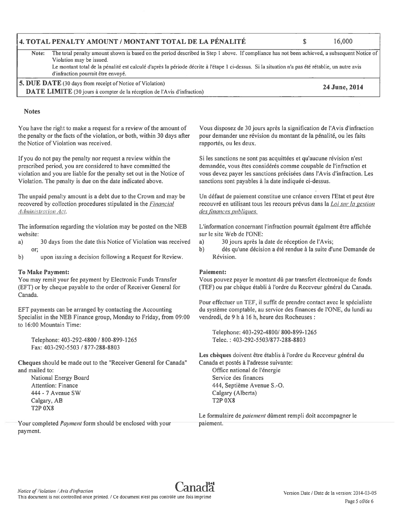I"

### 4. TOTAL PENALTY AMOUNT / MONTANT TOTAL DE LA PENALITE \$ 16,000

- Note: The total penalty amount shown is based on the period described in Step <sup>I</sup> above. If compliance has not been achieved, <sup>a</sup> subsequent Notice of Violation may be issued.
	- Le montant total de la pénalité est calculé d'après la période décrite à l'étape 1 ci-dessus. Si la situation n'a pas été rétablie, un autre avis d'infraction pourrait être envoyé.
- 5. DUE DATE (30 days from receipt of Notice of Violation)<br>
DATE LIMITE (30 jours à compter de la réception de l'Avis d'infraction) 
24 June, 2014

### Vous disposez de 30jours après Ia signification de l'Avis d'infraction pour demander une revision du montant de la pénalité, ou les faits rapportés, ou les deux.

Si les sanctions ne sont pas acquittées et qu'aucune révision n'est demandée, vous étes considérés comme coupable de I'infraction et vous devez payer les sanctions précisées dans l'Avis d'infraction. Les sanctions sont payables à la date indiquée ci-dessus.

Un défaut de paiement constitue une créance envers l'Etat et peu<sup>t</sup> être recouvré en utilisant tous les recours prévus dans la *Loi sur la gestion* des finances publiques.

L'information concernant l'infraction pourrait égalment être affichée sur le site Web de l'ONE:

- a) 30 jours après la date de réception de l'Avis;
- b) dès qu'une décision a été rendue à la suite d'une Demande de Révision.

### Paiement:

Vous pouvez payer le montant dû par transfert électronique de fonds (TEF) ou par chèque établi à l'ordre du Receveur général du Canada.

Pour effectuer un TEF, il suffit de prendre contact avec le spécialiste du système comptable, au service des finances de l'ONE, du lundi au vendredi, de 9 h à 16 h, heure des Rocheuses :

Telephone: 403-292-4800/ 800-899-1265 Telec. : 403-292-5503/877-288-8803

Les chèques doivent être établis à l'ordre du Receveur général du Canada et postés à l'adresse suivante: Office national de l'énergie Service des finances 444, Septième Avenue 5-0. Calgary (Alberta) T2P 0X8

Le formulaire de *paiement* dûment rempli doit accompagner le paiement.

> Version Date / Date de Ia version: 20 14-03-05 Page 5 of/de 6

If you do not pay the penalty nor reques<sup>t</sup> <sup>a</sup> review within the prescribed period, you are considered to have committed the violation and you are liable for the penalty set out in the Notice of Violation. The penalty is due on the date indicated above.

You have the right to make <sup>a</sup> reques<sup>t</sup> for <sup>a</sup> review of the amount of the penalty or the facts of the violation, or both, within 30 days after

The unpaid penalty amount is <sup>a</sup> debt due to the Crown and may be recovered by collection procedures stipulated in the *Financial* Administration Act.

The information regarding the violation may be posted on the NEB website:

- a) 30 days from the date this Notice of Violation was received or;
- b) upon issuing <sup>a</sup> decision following <sup>a</sup> Request for Review.

### To Make Payment:

**Notes** 

the Notice of Violation was received.

You may remit your fee paymen<sup>t</sup> by Electronic Funds Transfer (EFT) or by cheque payable to the order of Receiver General for Canada.

EFT payments can be arranged by contacting the Accounting Specialist in the NEB Finance group, Monday to Friday, from 09:00 to 16:00 Mountain Time:

Telephone: 403-292-4800 / 800-899-1265 Fax: 403-292-5503 / 877-288-8803

Cheques should be made Out to the "Receiver General for Canada" and mailed to:

National Energy Board Attention: Finance 444 - 7 Avenue SW Calgary, AB T2P 0X8

Your completed Payment form should be enclosed with your payment.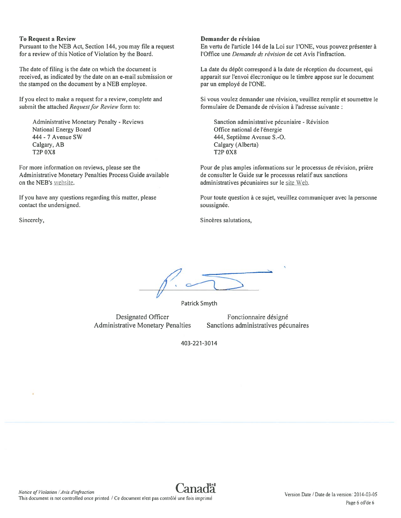#### To Request <sup>a</sup> Review

Pursuant to the NEB Act, Section 144, you may file <sup>a</sup> reques<sup>t</sup> for a review of this Notice of Violation by the Board.

The date of filing is the date on which the document is received, as indicated by the date on an e-mail submission or the stamped on the document by <sup>a</sup> NEB employee.

If you elect to make <sup>a</sup> reques<sup>t</sup> for <sup>a</sup> review, complete and submit the attached Request for Review form to:

Administrative Monetary Penalty - Reviews National Energy Board 444 - 7 Avenue SW Calgary, AB T2P 0X8

For more information on reviews, please see the Administrative Monetary Penalties Process Guide available on the NEB's website.

If you have any questions regarding this matter, please contact the undersigned.

#### Demander de révision

En vertu de l'article 144 de la Loi sur l'ONE, vous pouvez présenter à l'Office une *Demande de révision* de cet Avis l'infraction.

La date du dépôt correspond à la date de réception du document, qui apparait sur l'envoi electronique ou le timbre appose sur le document par un employé de l'ONE.

Si vous voulez demander une révision, veuillez remplir et soumettre le formulaire de Demande de révision à l'adresse suivante :

Sanction administrative pécuniaire - Révision Office national de l'énergie 444, Septième Avenue S.-O. Calgary (Alberta) T2P 0X8

Pour de plus amples informations sur le processus de révision, prière de consulter le Guide sur le processus relatifaux sanctions administratives pécuniaires sur le site Web.

Pour toute question à ce sujet, veuillez communiquer avec la personne soussignée.

Sincerely, Sincères salutations, Sincères salutations,

, and the contract of the contract of the contract of the contract of the contract of the contract of the contract of the contract of the contract of the contract of the contract of the contract of the contract of the con

Patrick Smyth

Designated Officer Administrative Monetary Penalties

Fonctionnaire désigné Sanctions administratives pécunaires

403-221-3014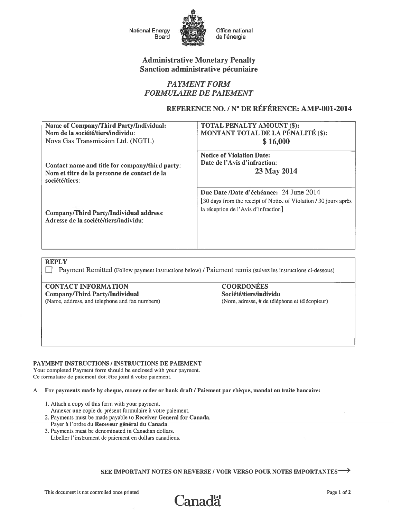

# **Administrative Monetary Penalty** Sanction administrative pécuniaire

# **PAYMENT FORM FORMULAIRE DE PAIEMENT**

## REFERENCE NO. / N° DE RÉFÉRENCE: AMP-001-2014

| <b>Name of Company/Third Party/Individual:</b>                                                                    | TOTAL PENALTY AMOUNT (\$):                                                                                                                           |
|-------------------------------------------------------------------------------------------------------------------|------------------------------------------------------------------------------------------------------------------------------------------------------|
| Nom de la société/tiers/individu:                                                                                 | MONTANT TOTAL DE LA PÉNALITÉ (\$):                                                                                                                   |
| Nova Gas Transmission Ltd. (NGTL)                                                                                 | \$16,000                                                                                                                                             |
| Contact name and title for company/third party:<br>Nom et titre de la personne de contact de la<br>société/tiers: | <b>Notice of Violation Date:</b><br>Date de l'Avis d'infraction:<br>23 May 2014                                                                      |
| <b>Company/Third Party/Individual address:</b><br>Adresse de la société/tiers/individu:                           | Due Date /Date d'échéance: 24 June 2014<br>[30 days from the receipt of Notice of Violation / 30 jours après<br>la réception de l'Avis d'infraction] |

**REPLY** 

Payment Remitted (Follow payment instructions below) / Paiement remis (suivez les instructions ci-dessous)

**CONTACT INFORMATION Company/Third Party/Individual** (Name, address, and telephone and fax numbers)

**COORDONÉES** Société/tiers/individu (Nom, adresse, # de téléphone et télécopieur)

### PAYMENT INSTRUCTIONS / INSTRUCTIONS DE PAIEMENT

Your completed Payment form should be enclosed with your payment. Ce formulaire de paiement doit être joint à votre paiement.

#### A. For payments made by cheque, money order or bank draft / Paiement par chèque, mandat ou traite bancaire:

- 1. Attach a copy of this form with your payment.
- Annexer une copie du présent formulaire à votre paiement.
- 2. Payments must be made payable to Receiver General for Canada.
- Payer à l'ordre du Receveur général du Canada. 3. Payments must be denominated in Canadian dollars.
- Libeller l'instrument de paiement en dollars canadiens.

SEE IMPORTANT NOTES ON REVERSE / VOIR VERSO POUR NOTES IMPORTANTES  $\rightarrow$ 

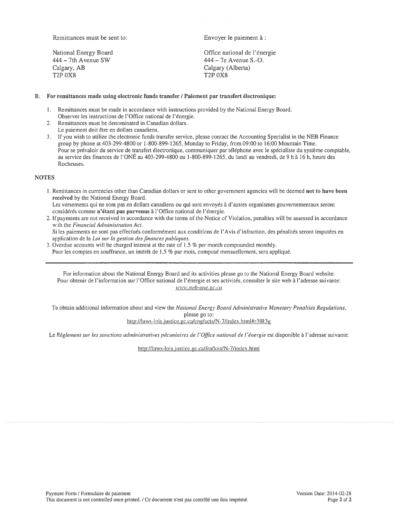Remittances must be sent to: Envoyer le paiement à :

Calgary, AB Calgary (Alberta) T2P 0X8 T2P 0X8

National Energy Board Office national de l'énergie 444 — 7th Avenue SW 444 — 7e Avenue S.-O.

#### B. For remittances made using electronic funds transfer / Paiement par transfert électronique:

- I. Remittances must be made in accordance with instructions provided by the National Energy Board. Observer les instructions de l'Office national de I'énergie.
- 2. Remittances must be denominated in Canadian dollars.
- Le paiement doit être en dollars canadiens.
- 3. If you wish to utilize the electronic funds transfer service, please contact the Accounting Specialist in the NEB Finance group by phone at 403-299-4800 or 1-800-899-1265, Monday to Friday, from 09:00 to 16:00 Mountain Time. Pour se prévaloir du service de transfert électronique, communiquer par téléphone avec le spécialiste du système comptable, au service des finances de l'ONÉ au 403-299-4800 ou 1-800-899-1265, du lundi au vendredi, de 9 h à 16 h, heure des Rocheuses.

### **NOTES**

1. Remittances in currencies other than Canadian dollars or sent to other governmen<sup>t</sup> agencies will be deemed not to have been received by the National Energy Board.

Les versements qu<sup>i</sup> ne sont pas en dollars canadiens ou qu<sup>i</sup> sont envoyés a d'autres organismes gouvernementaux seront considérés comme <sup>n</sup>'étant pas parvenus a l'Office national de l'énergie.

- 2. If payments are not received in accordance with the terms of the Notice of Violation, penalties will be assessed in accordance with the Financial Administration Act. Si les paiements ne sont pas effectués conformément aux conditions de l'Avis d'infraction, des pénalités seront imputées en
- application de la Loi sur la gestion des finances publiques. 3. Overdue accounts will be charged interest at the rate of 1.5 % per month compounded monthly.
- Pour les comptes en souffrance, un intérêt de 1,5 % par mois, compose mensuellement, sera appliqué.

For information about the National Energy Board and its activities please go to the National Energy Board website: Pour obtenir de l'information sur l'Office national de l'énergie et ses activités, consulter le site web à l'adresse suivante: www.neb-one.gc.ca

To obtain additional information about and view the National Energy Board Administrative Monetary Penalties Regulations, please go to: http://laws-lois.justice.gc.ca/eng/acts/N-7/index.html#r3IR3g

Le Règlement sur les sanctions administratives pécuniaires de l'Office national de l'énergie est disponible à l'adresse suivante:

http://laws-lois.justice.gc.ca/fra/lois/N-7/index.html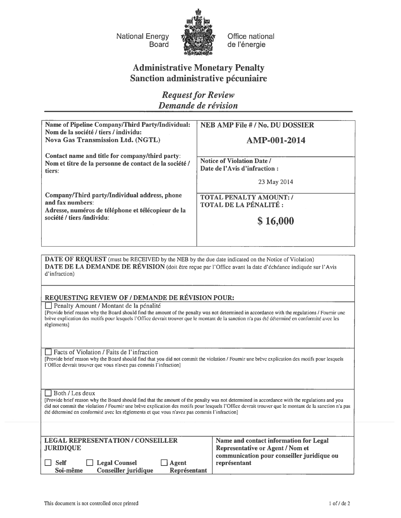National Energy Board



Office national de l'énergie

# Administrative Monetary Penalty Sanction administrative pécuniaire

**Request for Review** Demande de révision

| <b>Name of Pipeline Company/Third Party/Individual:</b><br>Nom de la société / tiers / individu:<br><b>Nova Gas Transmission Ltd. (NGTL)</b> | <b>NEB AMP File #/No. DU DOSSIER</b><br>AMP-001-2014              |
|----------------------------------------------------------------------------------------------------------------------------------------------|-------------------------------------------------------------------|
| Contact name and title for company/third party:<br>Nom et titre de la personne de contact de la société /<br>tiers:                          | <b>Notice of Violation Date/</b><br>Date de l'Avis d'infraction : |
|                                                                                                                                              | 23 May 2014                                                       |
| Company/Third party/Individual address, phone<br>and fax numbers:<br>Adresse, numéros de téléphone et télécopieur de la                      | <b>TOTAL PENALTY AMOUNT: /</b><br>TOTAL DE LA PÉNALITÉ :          |
| société / tiers /individu:                                                                                                                   | \$16,000                                                          |

DATE OF REQUEST (must be RECEIVED by the NEB by the due date indicated on the Notice of Violation) DATE DE LA DEMANDE DE RÉVISION (doit être reçue par l'Office avant la date d'échéance indiquée sur l'Avis d'infraction)

### REQUESTING REVIEW OF / DEMANDE DE REVISION POUR:

 $\Box$  Penalty Amount / Montant de la pénalité

[Provide brief reason why the Board should find the amount of the penalty was not determined in accordance with the regulations / Foumir unc brève explication des motifs pour lesquels l'Office devrait trouver que le montant de la sanction n'a pas été déterminé en conformité avec les règlementsl

 $\Box$  Facts of Violation / Faits de l'infraction

[Provide brief reason why the Board should find that you did not commit the violation / Foumir une breve explication des motifs pour lesquels l'Office devrait trouver que vous <sup>n</sup>'avez pas commis l'infraction]

 $\Box$  Both / Les deux

[Provide brief reason why the Board should find that the amount of the penalty was not determined in accordance with the regulations and you did not commit the violation / Fournir une breve explication des motifs pour lesquels l'Office devrait trouver que le montant de la sanction n'a pas été déterminé en conformité avec les règlements et que vous n'avez pas commis l'infraction]

| <b>LEGAL REPRESENTATION / CONSEILLER</b>            | Name and contact information for Legal     |  |  |
|-----------------------------------------------------|--------------------------------------------|--|--|
| <b>JURIDIQUE</b>                                    | <b>Representative or Agent / Nom et</b>    |  |  |
|                                                     | communication pour conseiller juridique ou |  |  |
| $\Box$ Legal Counsel<br><b>Self</b><br>$\Box$ Agent | représentant                               |  |  |
| Conseiller juridique<br>Soi-même<br>Représentant    |                                            |  |  |